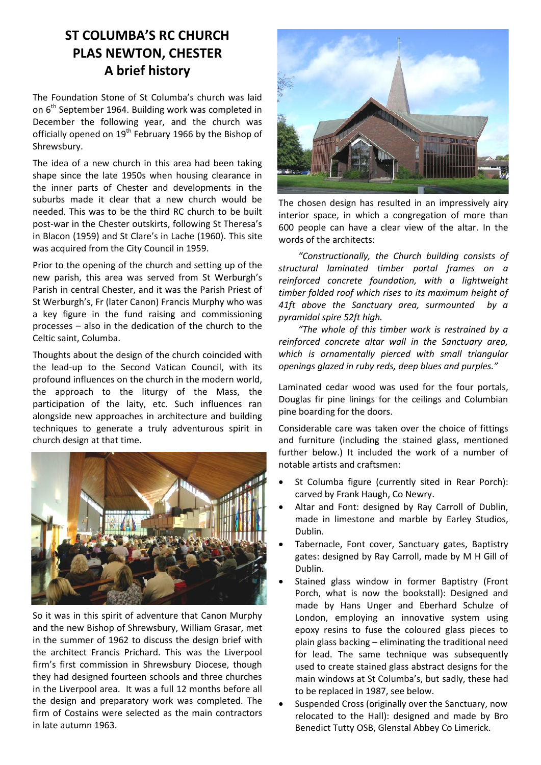## **ST COLUMBA'S RC CHURCH PLAS NEWTON, CHESTER A brief history**

The Foundation Stone of St Columba's church was laid on 6<sup>th</sup> September 1964. Building work was completed in December the following year, and the church was officially opened on 19<sup>th</sup> February 1966 by the Bishop of Shrewsbury.

The idea of a new church in this area had been taking shape since the late 1950s when housing clearance in the inner parts of Chester and developments in the suburbs made it clear that a new church would be needed. This was to be the third RC church to be built post-war in the Chester outskirts, following St Theresa's in Blacon (1959) and St Clare's in Lache (1960). This site was acquired from the City Council in 1959.

Prior to the opening of the church and setting up of the new parish, this area was served from St Werburgh's Parish in central Chester, and it was the Parish Priest of St Werburgh's, Fr (later Canon) Francis Murphy who was a key figure in the fund raising and commissioning processes – also in the dedication of the church to the Celtic saint, Columba.

Thoughts about the design of the church coincided with the lead-up to the Second Vatican Council, with its profound influences on the church in the modern world, the approach to the liturgy of the Mass, the participation of the laity, etc. Such influences ran alongside new approaches in architecture and building techniques to generate a truly adventurous spirit in church design at that time.



So it was in this spirit of adventure that Canon Murphy and the new Bishop of Shrewsbury, William Grasar, met in the summer of 1962 to discuss the design brief with the architect Francis Prichard. This was the Liverpool firm's first commission in Shrewsbury Diocese, though they had designed fourteen schools and three churches in the Liverpool area. It was a full 12 months before all the design and preparatory work was completed. The firm of Costains were selected as the main contractors in late autumn 1963.



The chosen design has resulted in an impressively airy interior space, in which a congregation of more than 600 people can have a clear view of the altar. In the words of the architects:

*"Constructionally, the Church building consists of structural laminated timber portal frames on a reinforced concrete foundation, with a lightweight timber folded roof which rises to its maximum height of 41ft above the Sanctuary area, surmounted by a pyramidal spire 52ft high.*

*"The whole of this timber work is restrained by a reinforced concrete altar wall in the Sanctuary area, which is ornamentally pierced with small triangular openings glazed in ruby reds, deep blues and purples."*

Laminated cedar wood was used for the four portals, Douglas fir pine linings for the ceilings and Columbian pine boarding for the doors.

Considerable care was taken over the choice of fittings and furniture (including the stained glass, mentioned further below.) It included the work of a number of notable artists and craftsmen:

- St Columba figure (currently sited in Rear Porch): carved by Frank Haugh, Co Newry.
- Altar and Font: designed by Ray Carroll of Dublin, made in limestone and marble by Earley Studios, Dublin.
- Tabernacle, Font cover, Sanctuary gates, Baptistry gates: designed by Ray Carroll, made by M H Gill of Dublin.
- Stained glass window in former Baptistry (Front Porch, what is now the bookstall): Designed and made by Hans Unger and Eberhard Schulze of London, employing an innovative system using epoxy resins to fuse the coloured glass pieces to plain glass backing – eliminating the traditional need for lead. The same technique was subsequently used to create stained glass abstract designs for the main windows at St Columba's, but sadly, these had to be replaced in 1987, see below.
- Suspended Cross (originally over the Sanctuary, now relocated to the Hall): designed and made by Bro Benedict Tutty OSB, Glenstal Abbey Co Limerick.